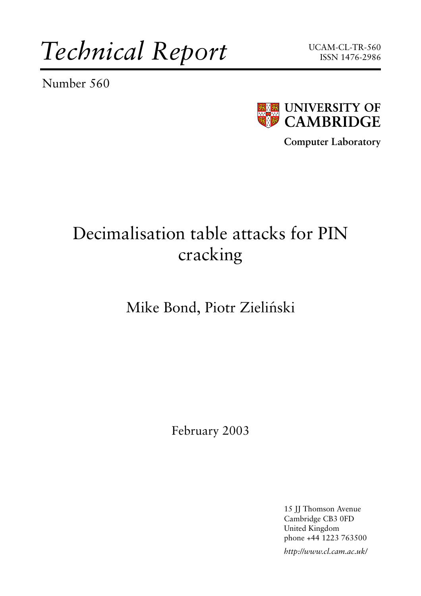*Technical Report*

Number 560





**Computer Laboratory**

# Decimalisation table attacks for PIN cracking

## Mike Bond, Piotr Zieliński

February 2003

15 JJ Thomson Avenue Cambridge CB3 0FD United Kingdom phone +44 1223 763500

*http://www.cl.cam.ac.uk/*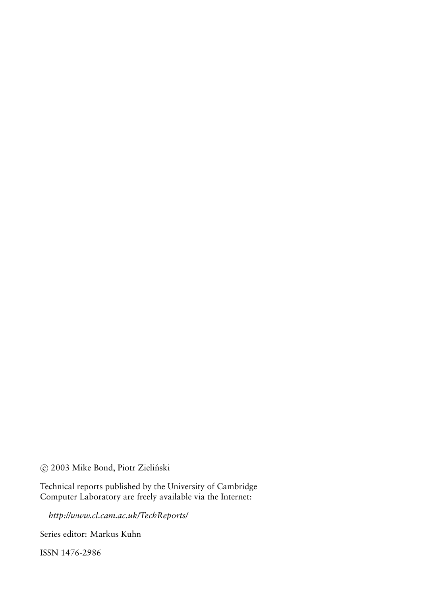c 2003 Mike Bond, Piotr Zielinski ´

Technical reports published by the University of Cambridge Computer Laboratory are freely available via the Internet:

*http://www.cl.cam.ac.uk/TechReports/*

Series editor: Markus Kuhn

ISSN 1476-2986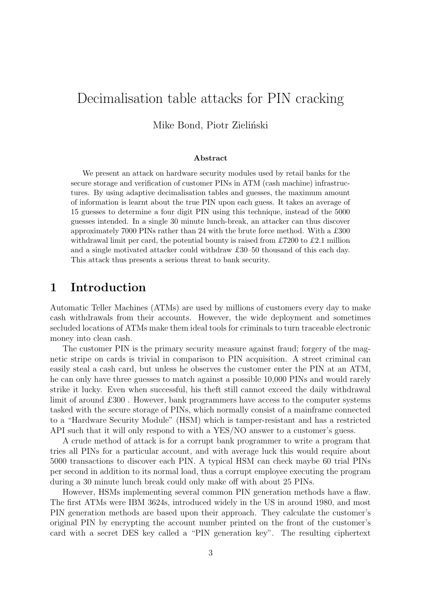## Decimalisation table attacks for PIN cracking

Mike Bond, Piotr Zieliński

#### Abstract

We present an attack on hardware security modules used by retail banks for the secure storage and verification of customer PINs in ATM (cash machine) infrastructures. By using adaptive decimalisation tables and guesses, the maximum amount of information is learnt about the true PIN upon each guess. It takes an average of 15 guesses to determine a four digit PIN using this technique, instead of the 5000 guesses intended. In a single 30 minute lunch-break, an attacker can thus discover approximately 7000 PINs rather than 24 with the brute force method. With a £300 withdrawal limit per card, the potential bounty is raised from £7200 to £2.1 million and a single motivated attacker could withdraw £30–50 thousand of this each day. This attack thus presents a serious threat to bank security.

## 1 Introduction

Automatic Teller Machines (ATMs) are used by millions of customers every day to make cash withdrawals from their accounts. However, the wide deployment and sometimes secluded locations of ATMs make them ideal tools for criminals to turn traceable electronic money into clean cash.

The customer PIN is the primary security measure against fraud; forgery of the magnetic stripe on cards is trivial in comparison to PIN acquisition. A street criminal can easily steal a cash card, but unless he observes the customer enter the PIN at an ATM, he can only have three guesses to match against a possible 10,000 PINs and would rarely strike it lucky. Even when successful, his theft still cannot exceed the daily withdrawal limit of around £300 . However, bank programmers have access to the computer systems tasked with the secure storage of PINs, which normally consist of a mainframe connected to a "Hardware Security Module" (HSM) which is tamper-resistant and has a restricted API such that it will only respond to with a YES/NO answer to a customer's guess.

A crude method of attack is for a corrupt bank programmer to write a program that tries all PINs for a particular account, and with average luck this would require about 5000 transactions to discover each PIN. A typical HSM can check maybe 60 trial PINs per second in addition to its normal load, thus a corrupt employee executing the program during a 30 minute lunch break could only make off with about 25 PINs.

However, HSMs implementing several common PIN generation methods have a flaw. The first ATMs were IBM 3624s, introduced widely in the US in around 1980, and most PIN generation methods are based upon their approach. They calculate the customer's original PIN by encrypting the account number printed on the front of the customer's card with a secret DES key called a "PIN generation key". The resulting ciphertext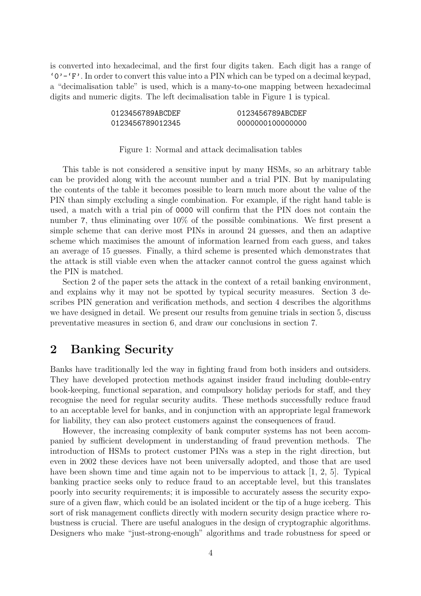is converted into hexadecimal, and the first four digits taken. Each digit has a range of  $'0'$  -'F'. In order to convert this value into a PIN which can be typed on a decimal keypad, a "decimalisation table" is used, which is a many-to-one mapping between hexadecimal digits and numeric digits. The left decimalisation table in Figure 1 is typical.

| 0123456789ABCDEF | 0123456789ABCDEF |
|------------------|------------------|
| 0123456789012345 | 0000000100000000 |

#### Figure 1: Normal and attack decimalisation tables

This table is not considered a sensitive input by many HSMs, so an arbitrary table can be provided along with the account number and a trial PIN. But by manipulating the contents of the table it becomes possible to learn much more about the value of the PIN than simply excluding a single combination. For example, if the right hand table is used, a match with a trial pin of 0000 will confirm that the PIN does not contain the number 7, thus eliminating over 10% of the possible combinations. We first present a simple scheme that can derive most PINs in around 24 guesses, and then an adaptive scheme which maximises the amount of information learned from each guess, and takes an average of 15 guesses. Finally, a third scheme is presented which demonstrates that the attack is still viable even when the attacker cannot control the guess against which the PIN is matched.

Section 2 of the paper sets the attack in the context of a retail banking environment, and explains why it may not be spotted by typical security measures. Section 3 describes PIN generation and verification methods, and section 4 describes the algorithms we have designed in detail. We present our results from genuine trials in section 5, discuss preventative measures in section 6, and draw our conclusions in section 7.

## 2 Banking Security

Banks have traditionally led the way in fighting fraud from both insiders and outsiders. They have developed protection methods against insider fraud including double-entry book-keeping, functional separation, and compulsory holiday periods for staff, and they recognise the need for regular security audits. These methods successfully reduce fraud to an acceptable level for banks, and in conjunction with an appropriate legal framework for liability, they can also protect customers against the consequences of fraud.

However, the increasing complexity of bank computer systems has not been accompanied by sufficient development in understanding of fraud prevention methods. The introduction of HSMs to protect customer PINs was a step in the right direction, but even in 2002 these devices have not been universally adopted, and those that are used have been shown time and time again not to be impervious to attack [1, 2, 5]. Typical banking practice seeks only to reduce fraud to an acceptable level, but this translates poorly into security requirements; it is impossible to accurately assess the security exposure of a given flaw, which could be an isolated incident or the tip of a huge iceberg. This sort of risk management conflicts directly with modern security design practice where robustness is crucial. There are useful analogues in the design of cryptographic algorithms. Designers who make "just-strong-enough" algorithms and trade robustness for speed or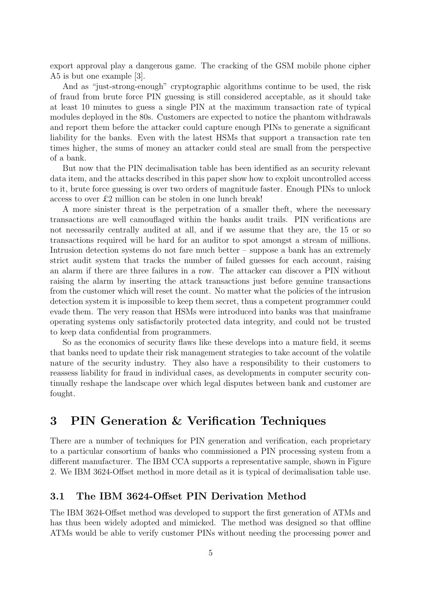export approval play a dangerous game. The cracking of the GSM mobile phone cipher A5 is but one example [3].

And as "just-strong-enough" cryptographic algorithms continue to be used, the risk of fraud from brute force PIN guessing is still considered acceptable, as it should take at least 10 minutes to guess a single PIN at the maximum transaction rate of typical modules deployed in the 80s. Customers are expected to notice the phantom withdrawals and report them before the attacker could capture enough PINs to generate a significant liability for the banks. Even with the latest HSMs that support a transaction rate ten times higher, the sums of money an attacker could steal are small from the perspective of a bank.

But now that the PIN decimalisation table has been identified as an security relevant data item, and the attacks described in this paper show how to exploit uncontrolled access to it, brute force guessing is over two orders of magnitude faster. Enough PINs to unlock access to over £2 million can be stolen in one lunch break!

A more sinister threat is the perpetration of a smaller theft, where the necessary transactions are well camouflaged within the banks audit trails. PIN verifications are not necessarily centrally audited at all, and if we assume that they are, the 15 or so transactions required will be hard for an auditor to spot amongst a stream of millions. Intrusion detection systems do not fare much better – suppose a bank has an extremely strict audit system that tracks the number of failed guesses for each account, raising an alarm if there are three failures in a row. The attacker can discover a PIN without raising the alarm by inserting the attack transactions just before genuine transactions from the customer which will reset the count. No matter what the policies of the intrusion detection system it is impossible to keep them secret, thus a competent programmer could evade them. The very reason that HSMs were introduced into banks was that mainframe operating systems only satisfactorily protected data integrity, and could not be trusted to keep data confidential from programmers.

So as the economics of security flaws like these develops into a mature field, it seems that banks need to update their risk management strategies to take account of the volatile nature of the security industry. They also have a responsibility to their customers to reassess liability for fraud in individual cases, as developments in computer security continually reshape the landscape over which legal disputes between bank and customer are fought.

## 3 PIN Generation & Verification Techniques

There are a number of techniques for PIN generation and verification, each proprietary to a particular consortium of banks who commissioned a PIN processing system from a different manufacturer. The IBM CCA supports a representative sample, shown in Figure 2. We IBM 3624-Offset method in more detail as it is typical of decimalisation table use.

#### 3.1 The IBM 3624-Offset PIN Derivation Method

The IBM 3624-Offset method was developed to support the first generation of ATMs and has thus been widely adopted and mimicked. The method was designed so that offline ATMs would be able to verify customer PINs without needing the processing power and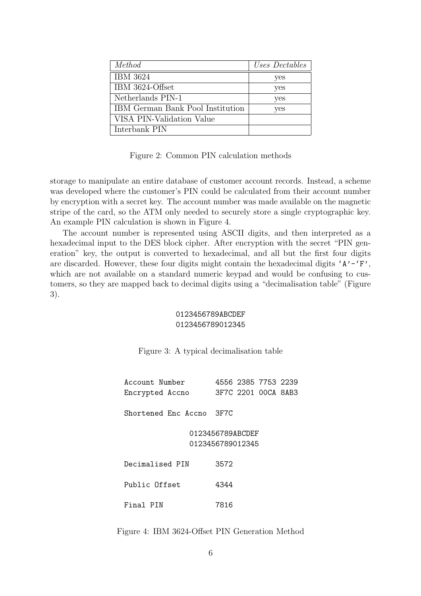| Method                           | Uses Dectables |
|----------------------------------|----------------|
| IBM 3624                         | yes            |
| IBM 3624-Offset                  | yes            |
| Netherlands PIN-1                | yes            |
| IBM German Bank Pool Institution | yes            |
| VISA PIN-Validation Value        |                |
| Interbank PIN                    |                |

Figure 2: Common PIN calculation methods

storage to manipulate an entire database of customer account records. Instead, a scheme was developed where the customer's PIN could be calculated from their account number by encryption with a secret key. The account number was made available on the magnetic stripe of the card, so the ATM only needed to securely store a single cryptographic key. An example PIN calculation is shown in Figure 4.

The account number is represented using ASCII digits, and then interpreted as a hexadecimal input to the DES block cipher. After encryption with the secret "PIN generation" key, the output is converted to hexadecimal, and all but the first four digits are discarded. However, these four digits might contain the hexadecimal digits ' $A'$ -'F', which are not available on a standard numeric keypad and would be confusing to customers, so they are mapped back to decimal digits using a "decimalisation table" (Figure 3).

#### 0123456789ABCDEF 0123456789012345

Figure 3: A typical decimalisation table

| Account Number<br>Encrypted Accno    |      |  | 4556 2385 7753 2239<br>3F7C 2201 00CA 8AB3 |  |
|--------------------------------------|------|--|--------------------------------------------|--|
| Shortened Enc Accno - 3F7C           |      |  |                                            |  |
|                                      |      |  |                                            |  |
| 0123456789ABCDEF<br>0123456789012345 |      |  |                                            |  |
| Decimalised PIN                      | 3572 |  |                                            |  |
| Public Offset                        | 4344 |  |                                            |  |
| Final PIN                            | 7816 |  |                                            |  |

Figure 4: IBM 3624-Offset PIN Generation Method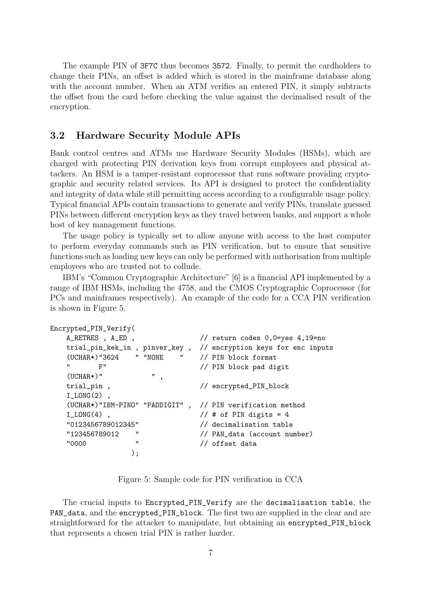The example PIN of 3F7C thus becomes 3572. Finally, to permit the cardholders to change their PINs, an offset is added which is stored in the mainframe database along with the account number. When an ATM verifies an entered PIN, it simply subtracts the offset from the card before checking the value against the decimalised result of the encryption.

#### 3.2 Hardware Security Module APIs

Bank control centres and ATMs use Hardware Security Modules (HSMs), which are charged with protecting PIN derivation keys from corrupt employees and physical attackers. An HSM is a tamper-resistant coprocessor that runs software providing cryptographic and security related services. Its API is designed to protect the confidentiality and integrity of data while still permitting access according to a configurable usage policy. Typical financial APIs contain transactions to generate and verify PINs, translate guessed PINs between different encryption keys as they travel between banks, and support a whole host of key management functions.

The usage policy is typically set to allow anyone with access to the host computer to perform everyday commands such as PIN verification, but to ensure that sensitive functions such as loading new keys can only be performed with authorisation from multiple employees who are trusted not to collude.

IBM's "Common Cryptographic Architecture" [6] is a financial API implemented by a range of IBM HSMs, including the 4758, and the CMOS Cryptographic Coprocessor (for PCs and mainframes respectively). An example of the code for a CCA PIN verification is shown in Figure 5.

```
Encrypted_PIN_Verify(
```

```
A_RETRES, A_ED, \frac{1}{2} // return codes 0,0=yes 4,19=no
trial_pin_kek_in , pinver_key , // encryption keys for enc inputs
(UCHAR*)"3624 " "NONE " // PIN block format
         F" // PIN block pad digit
(UCHAR\ast)"
trial_pin , \frac{1}{2} // encrypted_PIN_block
I_LDNG(2),
(UCHAR*)"IBM-PINO" "PADDIGIT" , // PIN verification method
I_LDNG(4), \frac{1}{2} , \frac{1}{2} , \frac{1}{2} , \frac{1}{2} , \frac{1}{2} , \frac{1}{2} , \frac{1}{2} , \frac{1}{2} , \frac{1}{2} , \frac{1}{2} , \frac{1}{2} , \frac{1}{2} , \frac{1}{2} , \frac{1}{2} , \frac{1}{2} , \frac{1}{2} , \frac{1}{2} , \frac{1"0123456789012345" // decimalisation table
"123456789012 " // PAN_data (account number)
"0000 " // offset data
                  );
```
Figure 5: Sample code for PIN verification in CCA

The crucial inputs to Encrypted\_PIN\_Verify are the decimalisation table, the PAN\_data, and the encrypted\_PIN\_block. The first two are supplied in the clear and are straightforward for the attacker to manipulate, but obtaining an encrypted\_PIN\_block that represents a chosen trial PIN is rather harder.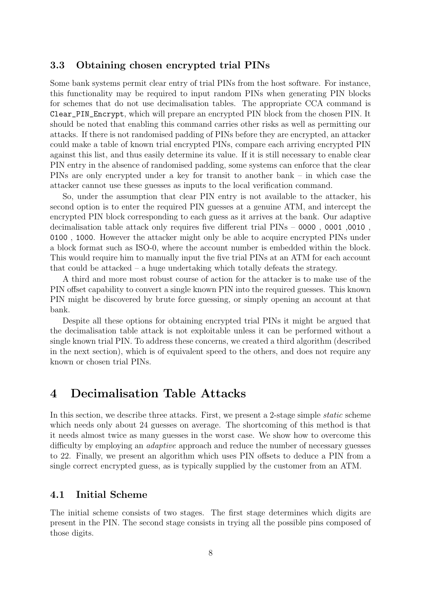#### 3.3 Obtaining chosen encrypted trial PINs

Some bank systems permit clear entry of trial PINs from the host software. For instance, this functionality may be required to input random PINs when generating PIN blocks for schemes that do not use decimalisation tables. The appropriate CCA command is Clear\_PIN\_Encrypt, which will prepare an encrypted PIN block from the chosen PIN. It should be noted that enabling this command carries other risks as well as permitting our attacks. If there is not randomised padding of PINs before they are encrypted, an attacker could make a table of known trial encrypted PINs, compare each arriving encrypted PIN against this list, and thus easily determine its value. If it is still necessary to enable clear PIN entry in the absence of randomised padding, some systems can enforce that the clear PINs are only encrypted under a key for transit to another bank – in which case the attacker cannot use these guesses as inputs to the local verification command.

So, under the assumption that clear PIN entry is not available to the attacker, his second option is to enter the required PIN guesses at a genuine ATM, and intercept the encrypted PIN block corresponding to each guess as it arrives at the bank. Our adaptive decimalisation table attack only requires five different trial PINs – 0000 , 0001 ,0010 , 0100 , 1000. However the attacker might only be able to acquire encrypted PINs under a block format such as ISO-0, where the account number is embedded within the block. This would require him to manually input the five trial PINs at an ATM for each account that could be attacked – a huge undertaking which totally defeats the strategy.

A third and more most robust course of action for the attacker is to make use of the PIN offset capability to convert a single known PIN into the required guesses. This known PIN might be discovered by brute force guessing, or simply opening an account at that bank.

Despite all these options for obtaining encrypted trial PINs it might be argued that the decimalisation table attack is not exploitable unless it can be performed without a single known trial PIN. To address these concerns, we created a third algorithm (described in the next section), which is of equivalent speed to the others, and does not require any known or chosen trial PINs.

### 4 Decimalisation Table Attacks

In this section, we describe three attacks. First, we present a 2-stage simple *static* scheme which needs only about 24 guesses on average. The shortcoming of this method is that it needs almost twice as many guesses in the worst case. We show how to overcome this difficulty by employing an *adaptive* approach and reduce the number of necessary guesses to 22. Finally, we present an algorithm which uses PIN offsets to deduce a PIN from a single correct encrypted guess, as is typically supplied by the customer from an ATM.

#### 4.1 Initial Scheme

The initial scheme consists of two stages. The first stage determines which digits are present in the PIN. The second stage consists in trying all the possible pins composed of those digits.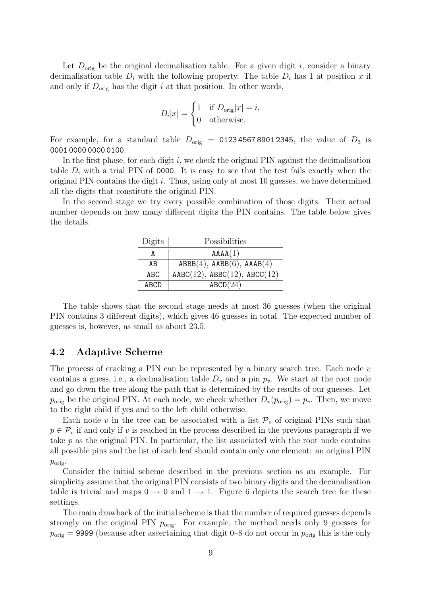Let  $D_{\text{orig}}$  be the original decimalisation table. For a given digit i, consider a binary decimalisation table  $D_i$  with the following property. The table  $D_i$  has 1 at position x if and only if  $D_{\text{orig}}$  has the digit i at that position. In other words,

$$
D_i[x] = \begin{cases} 1 & \text{if } D_{\text{orig}}[x] = i, \\ 0 & \text{otherwise.} \end{cases}
$$

For example, for a standard table  $D_{\text{orig}} = 0.0123456789012345$ , the value of  $D_3$  is 0001 0000 0000 0100.

In the first phase, for each digit  $i$ , we check the original PIN against the decimalisation table  $D_i$  with a trial PIN of 0000. It is easy to see that the test fails exactly when the original PIN contains the digit i. Thus, using only at most 10 guesses, we have determined all the digits that constitute the original PIN.

In the second stage we try every possible combination of those digits. Their actual number depends on how many different digits the PIN contains. The table below gives the details.

| Digits      | Possibilities                                             |
|-------------|-----------------------------------------------------------|
|             | AAAA(1)                                                   |
| AB          | $ABBB(4)$ , $AABB(6)$ , $AABA(4)$                         |
| ABC         | $\text{AABC}(12)$ , $\text{ABBC}(12)$ , $\text{ABCC}(12)$ |
| <b>ABCD</b> | ABCD(24)                                                  |

The table shows that the second stage needs at most 36 guesses (when the original PIN contains 3 different digits), which gives 46 guesses in total. The expected number of guesses is, however, as small as about 23.5.

#### 4.2 Adaptive Scheme

The process of cracking a PIN can be represented by a binary search tree. Each node  $v$ contains a guess, i.e., a decimalisation table  $D_v$  and a pin  $p_v$ . We start at the root node and go down the tree along the path that is determined by the results of our guesses. Let  $p_{\text{orig}}$  be the original PIN. At each node, we check whether  $D_v(p_{\text{orig}}) = p_v$ . Then, we move to the right child if yes and to the left child otherwise.

Each node v in the tree can be associated with a list  $\mathcal{P}_v$  of original PINs such that  $p \in \mathcal{P}_v$  if and only if v is reached in the process described in the previous paragraph if we take  $p$  as the original PIN. In particular, the list associated with the root node contains all possible pins and the list of each leaf should contain only one element: an original PIN  $p_{\text{orig}}$ .

Consider the initial scheme described in the previous section as an example. For simplicity assume that the original PIN consists of two binary digits and the decimalisation table is trivial and maps  $0 \rightarrow 0$  and  $1 \rightarrow 1$ . Figure 6 depicts the search tree for these settings.

The main drawback of the initial scheme is that the number of required guesses depends strongly on the original PIN  $p_{\text{orig}}$ . For example, the method needs only 9 guesses for  $p_{\text{orig}} = 9999$  (because after ascertaining that digit 0–8 do not occur in  $p_{\text{orig}}$  this is the only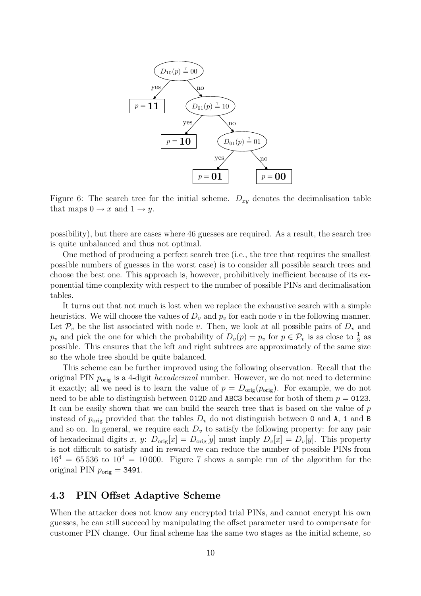

Figure 6: The search tree for the initial scheme.  $D_{xy}$  denotes the decimalisation table that maps  $0 \to x$  and  $1 \to y$ .

possibility), but there are cases where 46 guesses are required. As a result, the search tree is quite unbalanced and thus not optimal.

One method of producing a perfect search tree (i.e., the tree that requires the smallest possible numbers of guesses in the worst case) is to consider all possible search trees and choose the best one. This approach is, however, prohibitively inefficient because of its exponential time complexity with respect to the number of possible PINs and decimalisation tables.

It turns out that not much is lost when we replace the exhaustive search with a simple heuristics. We will choose the values of  $D_v$  and  $p_v$  for each node v in the following manner. Let  $\mathcal{P}_v$  be the list associated with node v. Then, we look at all possible pairs of  $D_v$  and  $p_v$  and pick the one for which the probability of  $D_v(p) = p_v$  for  $p \in \mathcal{P}_v$  is as close to  $\frac{1}{2}$  as possible. This ensures that the left and right subtrees are approximately of the same size so the whole tree should be quite balanced.

This scheme can be further improved using the following observation. Recall that the original PIN  $p_{\text{orig}}$  is a 4-digit *hexadecimal* number. However, we do not need to determine it exactly; all we need is to learn the value of  $p = D_{\text{orig}}(p_{\text{orig}})$ . For example, we do not need to be able to distinguish between 012D and ABC3 because for both of them  $p = 0123$ . It can be easily shown that we can build the search tree that is based on the value of p instead of  $p_{\text{orig}}$  provided that the tables  $D_v$  do not distinguish between 0 and A, 1 and B and so on. In general, we require each  $D<sub>v</sub>$  to satisfy the following property: for any pair of hexadecimal digits x, y:  $D_{\text{orig}}[x] = D_{\text{orig}}[y]$  must imply  $D_v[x] = D_v[y]$ . This property is not difficult to satisfy and in reward we can reduce the number of possible PINs from  $16<sup>4</sup> = 65536$  to  $10<sup>4</sup> = 10000$ . Figure 7 shows a sample run of the algorithm for the original PIN  $p_{\text{orig}} = 3491$ .

#### 4.3 PIN Offset Adaptive Scheme

When the attacker does not know any encrypted trial PINs, and cannot encrypt his own guesses, he can still succeed by manipulating the offset parameter used to compensate for customer PIN change. Our final scheme has the same two stages as the initial scheme, so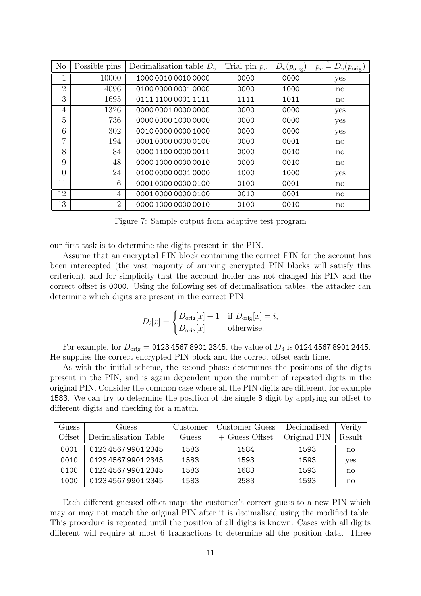| N <sub>o</sub> | Possible pins | Decimalisation table $D_v$ | Trial pin $p_v$ | $D_v(p_{\rm orig})$ | $p_v = D_v(p_{\text{orig}})$ |
|----------------|---------------|----------------------------|-----------------|---------------------|------------------------------|
|                | 10000         | 1000 0010 0010 0000        | 0000            | 0000                | yes                          |
| $\overline{2}$ | 4096          | 0100 0000 0001 0000        | 0000            | 1000                | $\mathbf{n}$                 |
| 3              | 1695          | 0111 1100 0001 1111        | 1111            | 1011                | $\mathbf{n}$                 |
| 4              | 1326          | 0000 0001 0000 0000        | 0000            | 0000                | yes                          |
| 5              | 736           | 0000 0000 1000 0000        | 0000            | 0000                | yes                          |
| 6              | 302           | 0010 0000 0000 1000        | 0000            | 0000                | yes                          |
| 7              | 194           | 0001 0000 0000 0100        | 0000            | 0001                | $\mathbf{n}$                 |
| 8              | 84            | 0000 1100 0000 0011        | 0000            | 0010                | $\mathbf{n}$                 |
| 9              | 48            | 0000 1000 0000 0010        | 0000            | 0010                | $\mathbf{n}$                 |
| 10             | 24            | 0100 0000 0001 0000        | 1000            | 1000                | yes                          |
| 11             | 6             | 0001 0000 0000 0100        | 0100            | 0001                | $\mathbf{n}$                 |
| 12             | 4             | 0001 0000 0000 0100        | 0010            | 0001                | $\mathbf{n}$                 |
| 13             | 2             | 0000 1000 0000 0010        | 0100            | 0010                | $\mathbf{n}$                 |

Figure 7: Sample output from adaptive test program

our first task is to determine the digits present in the PIN.

Assume that an encrypted PIN block containing the correct PIN for the account has been intercepted (the vast majority of arriving encrypted PIN blocks will satisfy this criterion), and for simplicity that the account holder has not changed his PIN and the correct offset is 0000. Using the following set of decimalisation tables, the attacker can determine which digits are present in the correct PIN.

$$
D_i[x] = \begin{cases} D_{\text{orig}}[x] + 1 & \text{if } D_{\text{orig}}[x] = i, \\ D_{\text{orig}}[x] & \text{otherwise.} \end{cases}
$$

For example, for  $D_{\text{orig}} = 0123\,4567\,8901\,2345$ , the value of  $D_3$  is 0124 4567 8901 2445. He supplies the correct encrypted PIN block and the correct offset each time.

As with the initial scheme, the second phase determines the positions of the digits present in the PIN, and is again dependent upon the number of repeated digits in the original PIN. Consider the common case where all the PIN digits are different, for example 1583. We can try to determine the position of the single 8 digit by applying an offset to different digits and checking for a match.

| Guess  | Guess                | Customer | Customer Guess   | Decimalised  | Verify |
|--------|----------------------|----------|------------------|--------------|--------|
| Offset | Decimalisation Table | Guess    | $+$ Guess Offset | Original PIN | Result |
| 0001   | 0123 4567 9901 2345  | 1583     | 1584             | 1593         | no     |
| 0010   | 0123 4567 9901 2345  | 1583     | 1593             | 1593         | yes    |
| 0100   | 0123 4567 9901 2345  | 1583     | 1683             | 1593         | no     |
| 1000   | 0123 4567 9901 2345  | 1583     | 2583             | 1593         | no     |

Each different guessed offset maps the customer's correct guess to a new PIN which may or may not match the original PIN after it is decimalised using the modified table. This procedure is repeated until the position of all digits is known. Cases with all digits different will require at most 6 transactions to determine all the position data. Three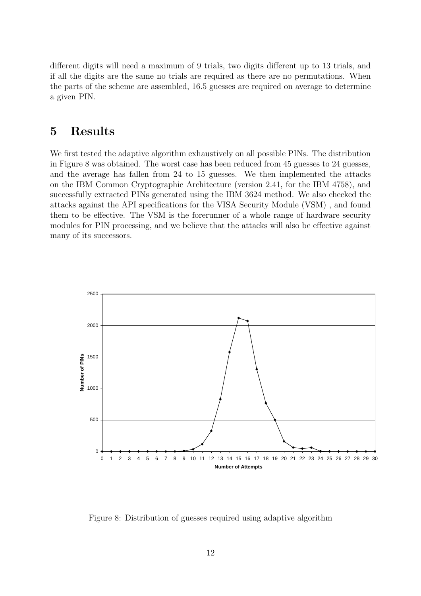different digits will need a maximum of 9 trials, two digits different up to 13 trials, and if all the digits are the same no trials are required as there are no permutations. When the parts of the scheme are assembled, 16.5 guesses are required on average to determine a given PIN.

## 5 Results

We first tested the adaptive algorithm exhaustively on all possible PINs. The distribution in Figure 8 was obtained. The worst case has been reduced from 45 guesses to 24 guesses, and the average has fallen from 24 to 15 guesses. We then implemented the attacks on the IBM Common Cryptographic Architecture (version 2.41, for the IBM 4758), and successfully extracted PINs generated using the IBM 3624 method. We also checked the attacks against the API specifications for the VISA Security Module (VSM) , and found them to be effective. The VSM is the forerunner of a whole range of hardware security modules for PIN processing, and we believe that the attacks will also be effective against many of its successors.



Figure 8: Distribution of guesses required using adaptive algorithm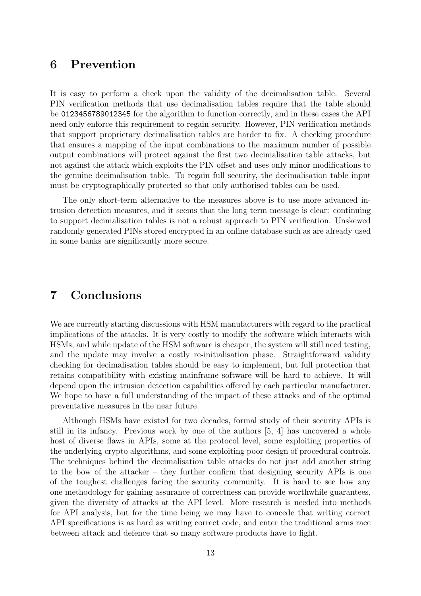## 6 Prevention

It is easy to perform a check upon the validity of the decimalisation table. Several PIN verification methods that use decimalisation tables require that the table should be 0123456789012345 for the algorithm to function correctly, and in these cases the API need only enforce this requirement to regain security. However, PIN verification methods that support proprietary decimalisation tables are harder to fix. A checking procedure that ensures a mapping of the input combinations to the maximum number of possible output combinations will protect against the first two decimalisation table attacks, but not against the attack which exploits the PIN offset and uses only minor modifications to the genuine decimalisation table. To regain full security, the decimalisation table input must be cryptographically protected so that only authorised tables can be used.

The only short-term alternative to the measures above is to use more advanced intrusion detection measures, and it seems that the long term message is clear: continuing to support decimalisation tables is not a robust approach to PIN verification. Unskewed randomly generated PINs stored encrypted in an online database such as are already used in some banks are significantly more secure.

## 7 Conclusions

We are currently starting discussions with HSM manufacturers with regard to the practical implications of the attacks. It is very costly to modify the software which interacts with HSMs, and while update of the HSM software is cheaper, the system will still need testing, and the update may involve a costly re-initialisation phase. Straightforward validity checking for decimalisation tables should be easy to implement, but full protection that retains compatibility with existing mainframe software will be hard to achieve. It will depend upon the intrusion detection capabilities offered by each particular manufacturer. We hope to have a full understanding of the impact of these attacks and of the optimal preventative measures in the near future.

Although HSMs have existed for two decades, formal study of their security APIs is still in its infancy. Previous work by one of the authors [5, 4] has uncovered a whole host of diverse flaws in APIs, some at the protocol level, some exploiting properties of the underlying crypto algorithms, and some exploiting poor design of procedural controls. The techniques behind the decimalisation table attacks do not just add another string to the bow of the attacker – they further confirm that designing security APIs is one of the toughest challenges facing the security community. It is hard to see how any one methodology for gaining assurance of correctness can provide worthwhile guarantees, given the diversity of attacks at the API level. More research is needed into methods for API analysis, but for the time being we may have to concede that writing correct API specifications is as hard as writing correct code, and enter the traditional arms race between attack and defence that so many software products have to fight.